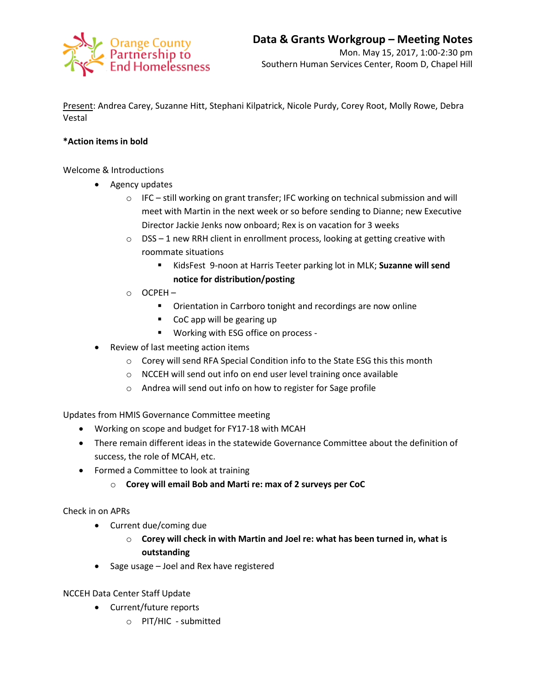

Present: Andrea Carey, Suzanne Hitt, Stephani Kilpatrick, Nicole Purdy, Corey Root, Molly Rowe, Debra Vestal

## **\*Action items in bold**

Welcome & Introductions

- Agency updates
	- o IFC still working on grant transfer; IFC working on technical submission and will meet with Martin in the next week or so before sending to Dianne; new Executive Director Jackie Jenks now onboard; Rex is on vacation for 3 weeks
	- $\circ$  DSS 1 new RRH client in enrollment process, looking at getting creative with roommate situations
		- KidsFest 9-noon at Harris Teeter parking lot in MLK; **Suzanne will send notice for distribution/posting**
	- o OCPEH
		- **•** Orientation in Carrboro tonight and recordings are now online
		- CoC app will be gearing up
		- **Working with ESG office on process -**
- Review of last meeting action items
	- o Corey will send RFA Special Condition info to the State ESG this this month
	- o NCCEH will send out info on end user level training once available
	- o Andrea will send out info on how to register for Sage profile

Updates from HMIS Governance Committee meeting

- Working on scope and budget for FY17-18 with MCAH
- There remain different ideas in the statewide Governance Committee about the definition of success, the role of MCAH, etc.
- Formed a Committee to look at training
	- o **Corey will email Bob and Marti re: max of 2 surveys per CoC**

Check in on APRs

- Current due/coming due
	- o **Corey will check in with Martin and Joel re: what has been turned in, what is outstanding**
- Sage usage Joel and Rex have registered

NCCEH Data Center Staff Update

- Current/future reports
	- o PIT/HIC submitted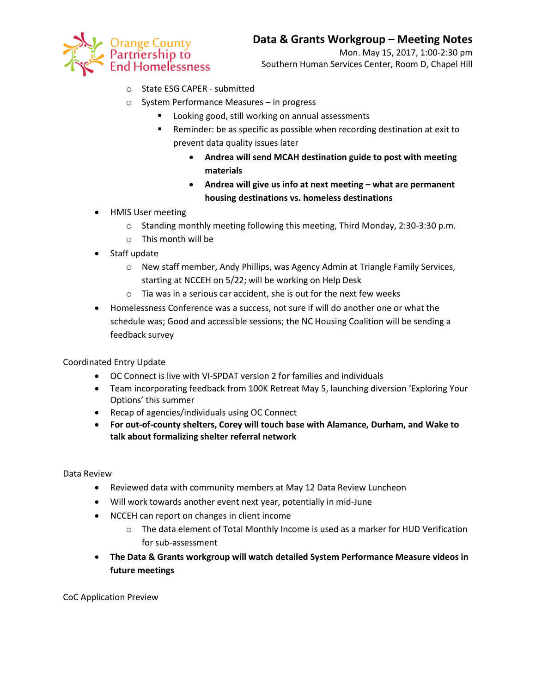

- o State ESG CAPER submitted
- o System Performance Measures in progress
	- **Looking good, still working on annual assessments**
	- Reminder: be as specific as possible when recording destination at exit to prevent data quality issues later
		- **Andrea will send MCAH destination guide to post with meeting materials**
		- **•** Andrea will give us info at next meeting what are permanent **housing destinations vs. homeless destinations**
- HMIS User meeting
	- o Standing monthly meeting following this meeting, Third Monday, 2:30-3:30 p.m.
	- o This month will be
- Staff update
	- o New staff member, Andy Phillips, was Agency Admin at Triangle Family Services, starting at NCCEH on 5/22; will be working on Help Desk
	- o Tia was in a serious car accident, she is out for the next few weeks
- Homelessness Conference was a success, not sure if will do another one or what the schedule was; Good and accessible sessions; the NC Housing Coalition will be sending a feedback survey

Coordinated Entry Update

- OC Connect is live with VI-SPDAT version 2 for families and individuals
- Team incorporating feedback from 100K Retreat May 5, launching diversion 'Exploring Your Options' this summer
- Recap of agencies/individuals using OC Connect
- **For out-of-county shelters, Corey will touch base with Alamance, Durham, and Wake to talk about formalizing shelter referral network**

Data Review

- Reviewed data with community members at May 12 Data Review Luncheon
- Will work towards another event next year, potentially in mid-June
- NCCEH can report on changes in client income
	- o The data element of Total Monthly Income is used as a marker for HUD Verification for sub-assessment
- **The Data & Grants workgroup will watch detailed System Performance Measure videos in future meetings**

CoC Application Preview